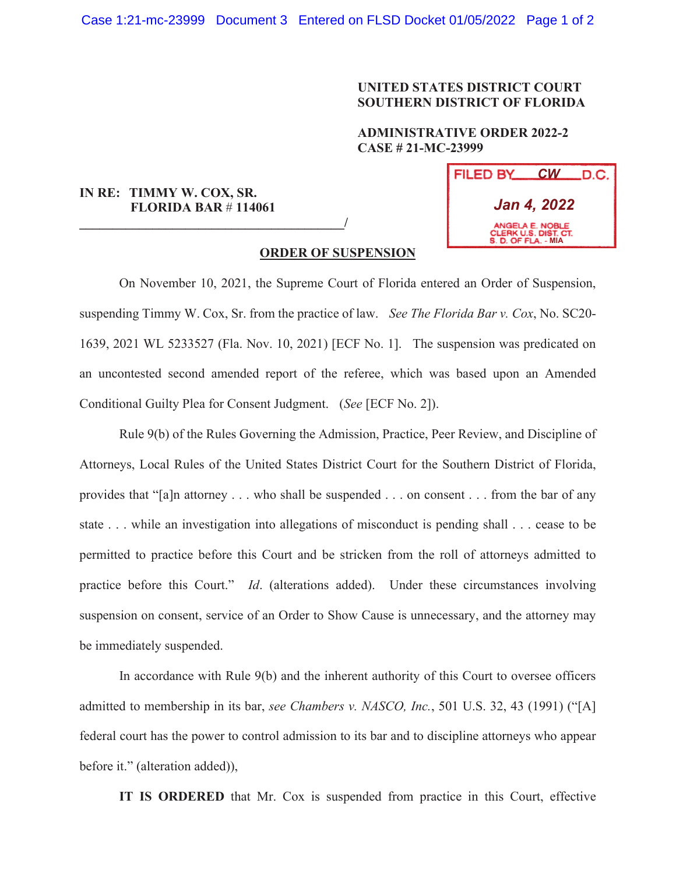## **UNITED STATES DISTRICT COURT SOUTHERN DISTRICT OF FLORIDA**

## **ADMINISTRATIVE ORDER 2022-2 CASE # 21-MC-23999**

## **IN RE: TIMMY W. COX, SR. FLORIDA BAR** # **114061**

**\_\_\_\_\_\_\_\_\_\_\_\_\_\_\_\_\_\_\_\_\_\_\_\_\_\_\_\_\_\_\_\_\_\_\_\_\_\_\_\_/**

| FILED BY                                                       |  | $CW$ D.C. |
|----------------------------------------------------------------|--|-----------|
| Jan 4, 2022                                                    |  |           |
| ANGELA E. NOBLE<br>CLERK U.S. DIST. CT.<br>S. D. OF FLA. - MIA |  |           |

## **ORDER OF SUSPENSION**

 On November 10, 2021, the Supreme Court of Florida entered an Order of Suspension, suspending Timmy W. Cox, Sr. from the practice of law. *See The Florida Bar v. Cox*, No. SC20- 1639, 2021 WL 5233527 (Fla. Nov. 10, 2021) [ECF No. 1]. The suspension was predicated on an uncontested second amended report of the referee, which was based upon an Amended Conditional Guilty Plea for Consent Judgment. (*See* [ECF No. 2]).

Rule 9(b) of the Rules Governing the Admission, Practice, Peer Review, and Discipline of Attorneys, Local Rules of the United States District Court for the Southern District of Florida, provides that "[a]n attorney . . . who shall be suspended . . . on consent . . . from the bar of any state . . . while an investigation into allegations of misconduct is pending shall . . . cease to be permitted to practice before this Court and be stricken from the roll of attorneys admitted to practice before this Court." *Id*. (alterations added). Under these circumstances involving suspension on consent, service of an Order to Show Cause is unnecessary, and the attorney may be immediately suspended.

In accordance with Rule 9(b) and the inherent authority of this Court to oversee officers admitted to membership in its bar, *see Chambers v. NASCO, Inc.*, 501 U.S. 32, 43 (1991) ("[A] federal court has the power to control admission to its bar and to discipline attorneys who appear before it." (alteration added)),

**IT IS ORDERED** that Mr. Cox is suspended from practice in this Court, effective